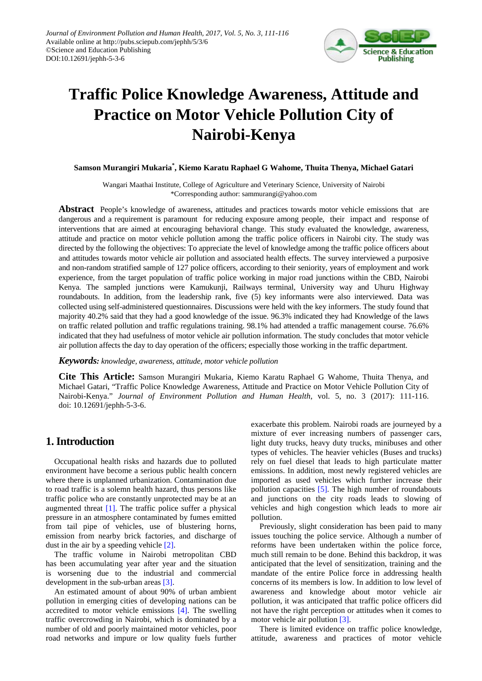

# **Traffic Police Knowledge Awareness, Attitude and Practice on Motor Vehicle Pollution City of Nairobi-Kenya**

#### **Samson Murangiri Mukaria\* , Kiemo Karatu Raphael G Wahome, Thuita Thenya, Michael Gatari**

Wangari Maathai Institute, College of Agriculture and Veterinary Science, University of Nairobi \*Corresponding author: sammurangi@yahoo.com

**Abstract** People's knowledge of awareness, attitudes and practices towards motor vehicle emissions that are dangerous and a requirement is paramount for reducing exposure among people, their impact and response of interventions that are aimed at encouraging behavioral change. This study evaluated the knowledge, awareness, attitude and practice on motor vehicle pollution among the traffic police officers in Nairobi city. The study was directed by the following the objectives: To appreciate the level of knowledge among the traffic police officers about and attitudes towards motor vehicle air pollution and associated health effects. The survey interviewed a purposive and non-random stratified sample of 127 police officers, according to their seniority, years of employment and work experience, from the target population of traffic police working in major road junctions within the CBD, Nairobi Kenya. The sampled junctions were Kamukunji, Railways terminal, University way and Uhuru Highway roundabouts. In addition, from the leadership rank, five (5) key informants were also interviewed. Data was collected using self-administered questionnaires. Discussions were held with the key informers. The study found that majority 40.2% said that they had a good knowledge of the issue. 96.3% indicated they had Knowledge of the laws on traffic related pollution and traffic regulations training. 98.1% had attended a traffic management course. 76.6% indicated that they had usefulness of motor vehicle air pollution information. The study concludes that motor vehicle air pollution affects the day to day operation of the officers; especially those working in the traffic department.

#### *Keywords: knowledge, awareness, attitude, motor vehicle pollution*

**Cite This Article:** Samson Murangiri Mukaria, Kiemo Karatu Raphael G Wahome, Thuita Thenya, and Michael Gatari, "Traffic Police Knowledge Awareness, Attitude and Practice on Motor Vehicle Pollution City of Nairobi-Kenya." *Journal of Environment Pollution and Human Health*, vol. 5, no. 3 (2017): 111-116. doi: 10.12691/jephh-5-3-6.

# **1. Introduction**

Occupational health risks and hazards due to polluted environment have become a serious public health concern where there is unplanned urbanization. Contamination due to road traffic is a solemn health hazard, thus persons like traffic police who are constantly unprotected may be at an augmented threat [\[1\].](#page-5-0) The traffic police suffer a physical pressure in an atmosphere contaminated by fumes emitted from tail pipe of vehicles, use of blustering horns, emission from nearby brick factories, and discharge of dust in the air by a speeding vehicle [\[2\].](#page-5-1)

The traffic volume in Nairobi metropolitan CBD has been accumulating year after year and the situation is worsening due to the industrial and commercial development in the sub-urban areas [\[3\].](#page-5-2)

An estimated amount of about 90% of urban ambient pollution in emerging cities of developing nations can be accredited to motor vehicle emissions [\[4\].](#page-5-3) The swelling traffic overcrowding in Nairobi, which is dominated by a number of old and poorly maintained motor vehicles, poor road networks and impure or low quality fuels further exacerbate this problem. Nairobi roads are journeyed by a mixture of ever increasing numbers of passenger cars, light duty trucks, heavy duty trucks, minibuses and other types of vehicles. The heavier vehicles (Buses and trucks) rely on fuel diesel that leads to high particulate matter emissions. In addition, most newly registered vehicles are imported as used vehicles which further increase their pollution capacities [\[5\].](#page-5-4) The high number of roundabouts and junctions on the city roads leads to slowing of vehicles and high congestion which leads to more air pollution.

Previously, slight consideration has been paid to many issues touching the police service. Although a number of reforms have been undertaken within the police force, much still remain to be done. Behind this backdrop, it was anticipated that the level of sensitization, training and the mandate of the entire Police force in addressing health concerns of its members is low. In addition to low level of awareness and knowledge about motor vehicle air pollution, it was anticipated that traffic police officers did not have the right perception or attitudes when it comes to motor vehicle air pollutio[n \[3\].](#page-5-2)

There is limited evidence on traffic police knowledge, attitude, awareness and practices of motor vehicle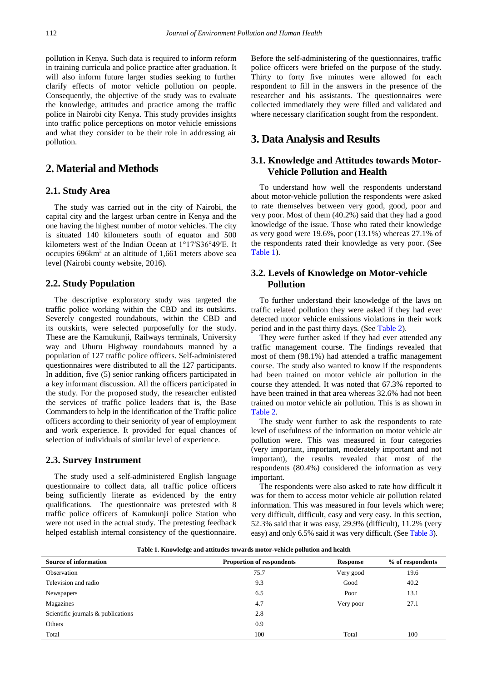pollution in Kenya. Such data is required to inform reform in training curricula and police practice after graduation. It will also inform future larger studies seeking to further clarify effects of motor vehicle pollution on people. Consequently, the objective of the study was to evaluate the knowledge, attitudes and practice among the traffic police in Nairobi city Kenya. This study provides insights into traffic police perceptions on motor vehicle emissions and what they consider to be their role in addressing air pollution.

## **2. Material and Methods**

## **2.1. Study Area**

The study was carried out in the city of Nairobi, the capital city and the largest urban centre in Kenya and the one having the highest number of motor vehicles. The city is situated 140 kilometers south of equator and 500 kilometers west of the Indian Ocean at 1°17′S36°49′E. It occupies  $696 \text{km}^2$  at an altitude of 1,661 meters above sea level (Nairobi county website, 2016).

#### **2.2. Study Population**

The descriptive exploratory study was targeted the traffic police working within the CBD and its outskirts. Severely congested roundabouts, within the CBD and its outskirts, were selected purposefully for the study. These are the Kamukunji, Railways terminals, University way and Uhuru Highway roundabouts manned by a population of 127 traffic police officers. Self-administered questionnaires were distributed to all the 127 participants. In addition, five (5) senior ranking officers participated in a key informant discussion. All the officers participated in the study. For the proposed study, the researcher enlisted the services of traffic police leaders that is, the Base Commanders to help in the identification of the Traffic police officers according to their seniority of year of employment and work experience. It provided for equal chances of selection of individuals of similar level of experience.

#### **2.3. Survey Instrument**

The study used a self-administered English language questionnaire to collect data, all traffic police officers being sufficiently literate as evidenced by the entry qualifications. The questionnaire was pretested with 8 traffic police officers of Kamukunji police Station who were not used in the actual study. The pretesting feedback helped establish internal consistency of the questionnaire.

Before the self-administering of the questionnaires, traffic police officers were briefed on the purpose of the study. Thirty to forty five minutes were allowed for each respondent to fill in the answers in the presence of the researcher and his assistants. The questionnaires were collected immediately they were filled and validated and where necessary clarification sought from the respondent.

# **3. Data Analysis and Results**

## **3.1. Knowledge and Attitudes towards Motor-Vehicle Pollution and Health**

To understand how well the respondents understand about motor-vehicle pollution the respondents were asked to rate themselves between very good, good, poor and very poor. Most of them (40.2%) said that they had a good knowledge of the issue. Those who rated their knowledge as very good were 19.6%, poor (13.1%) whereas 27.1% of the respondents rated their knowledge as very poor. (See [Table 1\)](#page-1-0).

#### **3.2. Levels of Knowledge on Motor-vehicle Pollution**

To further understand their knowledge of the laws on traffic related pollution they were asked if they had ever detected motor vehicle emissions violations in their work period and in the past thirty days. (See [Table 2\)](#page-2-0).

They were further asked if they had ever attended any traffic management course. The findings revealed that most of them (98.1%) had attended a traffic management course. The study also wanted to know if the respondents had been trained on motor vehicle air pollution in the course they attended. It was noted that 67.3% reported to have been trained in that area whereas 32.6% had not been trained on motor vehicle air pollution. This is as shown in [Table 2.](#page-2-0)

The study went further to ask the respondents to rate level of usefulness of the information on motor vehicle air pollution were. This was measured in four categories (very important, important, moderately important and not important), the results revealed that most of the respondents (80.4%) considered the information as very important.

The respondents were also asked to rate how difficult it was for them to access motor vehicle air pollution related information. This was measured in four levels which were; very difficult, difficult, easy and very easy. In this section, 52.3% said that it was easy, 29.9% (difficult), 11.2% (very easy) and only 6.5% said it was very difficult. (Se[e Table 3\)](#page-2-1).

**Table 1. Knowledge and attitudes towards motor-vehicle pollution and health**

<span id="page-1-0"></span>

| <b>Source of information</b>       | <b>Proportion of respondents</b> | <b>Response</b> | % of respondents |
|------------------------------------|----------------------------------|-----------------|------------------|
| Observation                        | 75.7                             | Very good       | 19.6             |
| Television and radio               | 9.3                              | Good            | 40.2             |
| Newspapers                         | 6.5                              | Poor            | 13.1             |
| Magazines                          | 4.7                              | Very poor       | 27.1             |
| Scientific journals & publications | 2.8                              |                 |                  |
| Others                             | 0.9                              |                 |                  |
| Total                              | 100                              | Total           | 100              |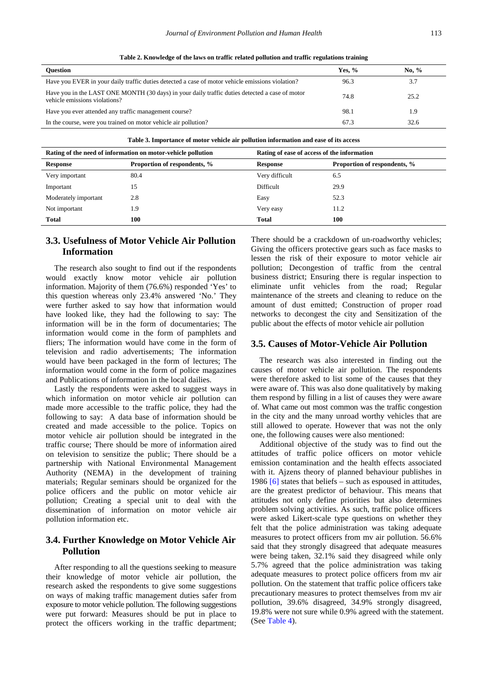<span id="page-2-0"></span>

| <b>Ouestion</b>                                                                                                                 | Yes. $%$ | No. $%$ |
|---------------------------------------------------------------------------------------------------------------------------------|----------|---------|
| Have you EVER in your daily traffic duties detected a case of motor vehicle emissions violation?                                | 96.3     | 3.7     |
| Have you in the LAST ONE MONTH (30 days) in your daily traffic duties detected a case of motor<br>vehicle emissions violations? | 74.8     | 25.2    |
| Have you ever attended any traffic management course?                                                                           | 98.1     | 1.9     |
| In the course, were you trained on motor vehicle air pollution?                                                                 | 67.3     | 32.6    |

**Table 2. Knowledge of the laws on traffic related pollution and traffic regulations training**

<span id="page-2-1"></span>

| Rating of the need of information on motor-vehicle pollution |                              | Rating of ease of access of the information |                              |
|--------------------------------------------------------------|------------------------------|---------------------------------------------|------------------------------|
| Response                                                     | Proportion of respondents, % | Response                                    | Proportion of respondents, % |
| Very important                                               | 80.4                         | Very difficult                              | 6.5                          |
| Important                                                    | 15                           | Difficult                                   | 29.9                         |
| Moderately important                                         | 2.8                          | Easy                                        | 52.3                         |
| Not important                                                | 1.9                          | Very easy                                   | 11.2                         |
| <b>Total</b>                                                 | 100                          | <b>Total</b>                                | 100                          |

#### **3.3. Usefulness of Motor Vehicle Air Pollution Information**

The research also sought to find out if the respondents would exactly know motor vehicle air pollution information. Majority of them (76.6%) responded 'Yes' to this question whereas only 23.4% answered 'No.' They were further asked to say how that information would have looked like, they had the following to say: The information will be in the form of documentaries; The information would come in the form of pamphlets and fliers; The information would have come in the form of television and radio advertisements; The information would have been packaged in the form of lectures; The information would come in the form of police magazines and Publications of information in the local dailies.

Lastly the respondents were asked to suggest ways in which information on motor vehicle air pollution can made more accessible to the traffic police, they had the following to say: A data base of information should be created and made accessible to the police. Topics on motor vehicle air pollution should be integrated in the traffic course; There should be more of information aired on television to sensitize the public; There should be a partnership with National Environmental Management Authority (NEMA) in the development of training materials; Regular seminars should be organized for the police officers and the public on motor vehicle air pollution; Creating a special unit to deal with the dissemination of information on motor vehicle air pollution information etc.

#### **3.4. Further Knowledge on Motor Vehicle Air Pollution**

After responding to all the questions seeking to measure their knowledge of motor vehicle air pollution, the research asked the respondents to give some suggestions on ways of making traffic management duties safer from exposure to motor vehicle pollution. The following suggestions were put forward: Measures should be put in place to protect the officers working in the traffic department;

There should be a crackdown of un-roadworthy vehicles; Giving the officers protective gears such as face masks to lessen the risk of their exposure to motor vehicle air pollution; Decongestion of traffic from the central business district; Ensuring there is regular inspection to eliminate unfit vehicles from the road; Regular maintenance of the streets and cleaning to reduce on the amount of dust emitted; Construction of proper road networks to decongest the city and Sensitization of the public about the effects of motor vehicle air pollution

#### **3.5. Causes of Motor-Vehicle Air Pollution**

The research was also interested in finding out the causes of motor vehicle air pollution. The respondents were therefore asked to list some of the causes that they were aware of. This was also done qualitatively by making them respond by filling in a list of causes they were aware of. What came out most common was the traffic congestion in the city and the many unroad worthy vehicles that are still allowed to operate. However that was not the only one, the following causes were also mentioned:

Additional objective of the study was to find out the attitudes of traffic police officers on motor vehicle emission contamination and the health effects associated with it. Ajzens theory of planned behaviour publishes in 1986  $[6]$  states that beliefs – such as espoused in attitudes, are the greatest predictor of behaviour. This means that attitudes not only define priorities but also determines problem solving activities. As such, traffic police officers were asked Likert-scale type questions on whether they felt that the police administration was taking adequate measures to protect officers from mv air pollution. 56.6% said that they strongly disagreed that adequate measures were being taken, 32.1% said they disagreed while only 5.7% agreed that the police administration was taking adequate measures to protect police officers from mv air pollution. On the statement that traffic police officers take precautionary measures to protect themselves from mv air pollution, 39.6% disagreed, 34.9% strongly disagreed, 19.8% were not sure while 0.9% agreed with the statement. (See [Table 4\)](#page-3-0).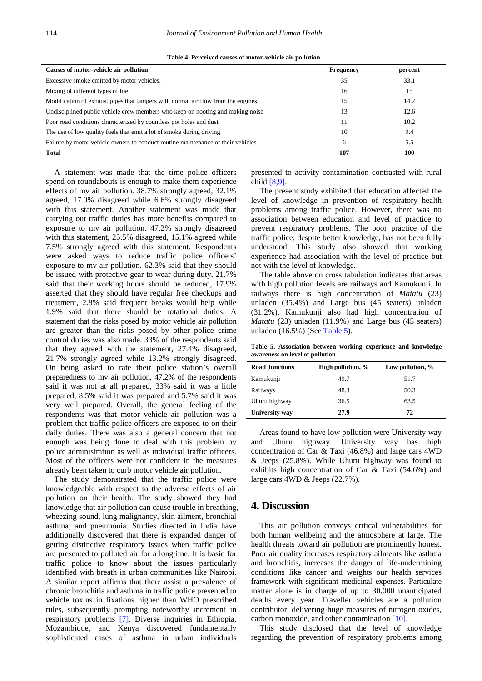| Table 4. Perceived causes of motor-vehicle air pollution |  |  |  |  |
|----------------------------------------------------------|--|--|--|--|
|----------------------------------------------------------|--|--|--|--|

<span id="page-3-0"></span>

| Causes of motor-vehicle air pollution                                            | <b>Frequency</b> | percent |
|----------------------------------------------------------------------------------|------------------|---------|
| Excessive smoke emitted by motor vehicles.                                       | 35               | 33.1    |
| Mixing of different types of fuel                                                | 16               | 15      |
| Modification of exhaust pipes that tampers with normal air flow from the engines | 15               | 14.2    |
| Undisciplined public vehicle crew members who keep on hooting and making noise   | 13               | 12.6    |
| Poor road conditions characterized by countless pot holes and dust               | 11               | 10.2    |
| The use of low quality fuels that emit a lot of smoke during driving             | 10               | 9.4     |
| Failure by motor vehicle owners to conduct routine maintenance of their vehicles | 6                | 5.5     |
| <b>Total</b>                                                                     | 107              | 100     |

A statement was made that the time police officers spend on roundabouts is enough to make them experience effects of mv air pollution. 38.7% strongly agreed, 32.1% agreed, 17.0% disagreed while 6.6% strongly disagreed with this statement. Another statement was made that carrying out traffic duties has more benefits compared to exposure to mv air pollution. 47.2% strongly disagreed with this statement, 25.5% disagreed, 15.1% agreed while 7.5% strongly agreed with this statement. Respondents were asked ways to reduce traffic police officers' exposure to mv air pollution. 62.3% said that they should be issued with protective gear to wear during duty, 21.7% said that their working hours should be reduced, 17.9% asserted that they should have regular free checkups and treatment, 2.8% said frequent breaks would help while 1.9% said that there should be rotational duties. A statement that the risks posed by motor vehicle air pollution are greater than the risks posed by other police crime control duties was also made. 33% of the respondents said that they agreed with the statement, 27.4% disagreed, 21.7% strongly agreed while 13.2% strongly disagreed. On being asked to rate their police station's overall preparedness to mv air pollution, 47.2% of the respondents said it was not at all prepared, 33% said it was a little prepared, 8.5% said it was prepared and 5.7% said it was very well prepared. Overall, the general feeling of the respondents was that motor vehicle air pollution was a problem that traffic police officers are exposed to on their daily duties. There was also a general concern that not enough was being done to deal with this problem by police administration as well as individual traffic officers. Most of the officers were not confident in the measures already been taken to curb motor vehicle air pollution.

The study demonstrated that the traffic police were knowledgeable with respect to the adverse effects of air pollution on their health. The study showed they had knowledge that air pollution can cause trouble in breathing, wheezing sound, lung malignancy, skin ailment, bronchial asthma, and pneumonia. Studies directed in India have additionally discovered that there is expanded danger of getting distinctive respiratory issues when traffic police are presented to polluted air for a longtime. It is basic for traffic police to know about the issues particularly identified with breath in urban communities like Nairobi. A similar report affirms that there assist a prevalence of chronic bronchitis and asthma in traffic police presented to vehicle toxins in fixations higher than WHO prescribed rules, subsequently prompting noteworthy increment in respiratory problems [\[7\].](#page-5-6) Diverse inquiries in Ethiopia, Mozambique, and Kenya discovered fundamentally sophisticated cases of asthma in urban individuals

presented to activity contamination contrasted with rural chil[d \[8,9\].](#page-5-7)

The present study exhibited that education affected the level of knowledge in prevention of respiratory health problems among traffic police. However, there was no association between education and level of practice to prevent respiratory problems. The poor practice of the traffic police, despite better knowledge, has not been fully understood. This study also showed that working experience had association with the level of practice but not with the level of knowledge.

The table above on cross tabulation indicates that areas with high pollution levels are railways and Kamukunji. In railways there is high concentration of *Matatu* (23) unladen (35.4%) and Large bus (45 seaters) unladen (31.2%). Kamukunji also had high concentration of *Matatu* (23) unladen (11.9%) and Large bus (45 seaters) unladen (16.5%) (Se[e Table 5\)](#page-3-1).

**Table 5. Association between working experience and knowledge awareness on level of pollution**

<span id="page-3-1"></span>

| <b>Road Junctions</b> | High pollution, % | Low pollution, % |
|-----------------------|-------------------|------------------|
| Kamukunji             | 49.7              | 51.7             |
| Railways              | 48.3              | 50.3             |
| Uhuru highway         | 36.5              | 63.5             |
| University way        | 27.9              | 72               |

Areas found to have low pollution were University way and Uhuru highway. University way has high concentration of Car & Taxi (46.8%) and large cars 4WD & Jeeps (25.8%). While Uhuru highway was found to exhibits high concentration of Car & Taxi (54.6%) and large cars 4WD & Jeeps (22.7%).

## **4. Discussion**

This air pollution conveys critical vulnerabilities for both human wellbeing and the atmosphere at large. The health threats toward air pollution are prominently honest. Poor air quality increases respiratory ailments like asthma and bronchitis, increases the danger of life-undermining conditions like cancer and weights our health services framework with significant medicinal expenses. Particulate matter alone is in charge of up to 30,000 unanticipated deaths every year. Traveller vehicles are a pollution contributor, delivering huge measures of nitrogen oxides, carbon monoxide, and other contaminatio[n \[10\].](#page-5-8)

This study disclosed that the level of knowledge regarding the prevention of respiratory problems among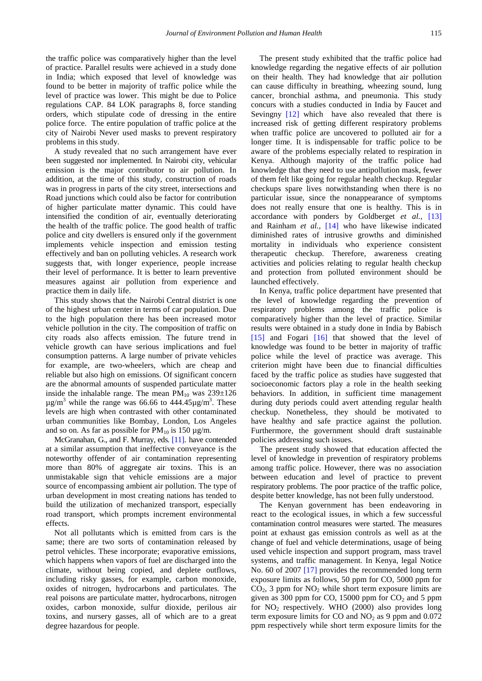the traffic police was comparatively higher than the level of practice. Parallel results were achieved in a study done in India; which exposed that level of knowledge was found to be better in majority of traffic police while the level of practice was lower. This might be due to Police regulations CAP. 84 LOK paragraphs 8, force standing orders, which stipulate code of dressing in the entire police force. The entire population of traffic police at the city of Nairobi Never used masks to prevent respiratory problems in this study.

A study revealed that no such arrangement have ever been suggested nor implemented. In Nairobi city, vehicular emission is the major contributor to air pollution. In addition, at the time of this study, construction of roads was in progress in parts of the city street, intersections and Road junctions which could also be factor for contribution of higher particulate matter dynamic. This could have intensified the condition of air, eventually deteriorating the health of the traffic police. The good health of traffic police and city dwellers is ensured only if the government implements vehicle inspection and emission testing effectively and ban on polluting vehicles. A research work suggests that, with longer experience, people increase their level of performance. It is better to learn preventive measures against air pollution from experience and practice them in daily life.

This study shows that the Nairobi Central district is one of the highest urban center in terms of car population. Due to the high population there has been increased motor vehicle pollution in the city. The composition of traffic on city roads also affects emission. The future trend in vehicle growth can have serious implications and fuel consumption patterns. A large number of private vehicles for example, are two-wheelers, which are cheap and reliable but also high on emissions. Of significant concern are the abnormal amounts of suspended particulate matter inside the inhalable range. The mean  $PM_{10}$  was  $239\pm126$  $\mu$ g/m<sup>3</sup> while the range was 66.66 to 444.45 $\mu$ g/m<sup>3</sup>. These levels are high when contrasted with other contaminated urban communities like Bombay, London, Los Angeles and so on. As far as possible for  $PM_{10}$  is 150  $\mu$ g/m.

McGranahan, G., and F. Murray, eds. [\[11\].](#page-5-9) have contended at a similar assumption that ineffective conveyance is the noteworthy offender of air contamination representing more than 80% of aggregate air toxins. This is an unmistakable sign that vehicle emissions are a major source of encompassing ambient air pollution. The type of urban development in most creating nations has tended to build the utilization of mechanized transport, especially road transport, which prompts increment environmental effects.

Not all pollutants which is emitted from cars is the same; there are two sorts of contamination released by petrol vehicles. These incorporate; evaporative emissions, which happens when vapors of fuel are discharged into the climate, without being copied, and deplete outflows, including risky gasses, for example, carbon monoxide, oxides of nitrogen, hydrocarbons and particulates. The real poisons are particulate matter, hydrocarbons, nitrogen oxides, carbon monoxide, sulfur dioxide, perilous air toxins, and nursery gasses, all of which are to a great degree hazardous for people.

The present study exhibited that the traffic police had knowledge regarding the negative effects of air pollution on their health. They had knowledge that air pollution can cause difficulty in breathing, wheezing sound, lung cancer, bronchial asthma, and pneumonia. This study concurs with a studies conducted in India by Faucet and Sevingny [\[12\]](#page-5-10) which have also revealed that there is increased risk of getting different respiratory problems when traffic police are uncovered to polluted air for a longer time. It is indispensable for traffic police to be aware of the problems especially related to respiration in Kenya. Although majority of the traffic police had knowledge that they need to use antipollution mask, fewer of them felt like going for regular health checkup. Regular checkups spare lives notwithstanding when there is no particular issue, since the nonappearance of symptoms does not really ensure that one is healthy. This is in accordance with ponders by Goldberget *et al.,* [\[13\]](#page-5-11) and Rainham *et al.,* [\[14\]](#page-5-12) who have likewise indicated diminished rates of intrusive growths and diminished mortality in individuals who experience consistent therapeutic checkup. Therefore, awareness creating activities and policies relating to regular health checkup and protection from polluted environment should be launched effectively.

In Kenya, traffic police department have presented that the level of knowledge regarding the prevention of respiratory problems among the traffic police is comparatively higher than the level of practice. Similar results were obtained in a study done in India by Babisch [\[15\]](#page-5-13) and Fogari [\[16\]](#page-5-14) that showed that the level of knowledge was found to be better in majority of traffic police while the level of practice was average. This criterion might have been due to financial difficulties faced by the traffic police as studies have suggested that socioeconomic factors play a role in the health seeking behaviors. In addition, in sufficient time management during duty periods could avert attending regular health checkup. Nonetheless, they should be motivated to have healthy and safe practice against the pollution. Furthermore, the government should draft sustainable policies addressing such issues.

The present study showed that education affected the level of knowledge in prevention of respiratory problems among traffic police. However, there was no association between education and level of practice to prevent respiratory problems. The poor practice of the traffic police, despite better knowledge, has not been fully understood.

The Kenyan government has been endeavoring in react to the ecological issues, in which a few successful contamination control measures were started. The measures point at exhaust gas emission controls as well as at the change of fuel and vehicle determinations, usage of being used vehicle inspection and support program, mass travel systems, and traffic management. In Kenya, legal Notice No. 60 of 2007 [\[17\]](#page-5-15) provides the recommended long term exposure limits as follows, 50 ppm for CO, 5000 ppm for  $CO<sub>2</sub>$ , 3 ppm for  $NO<sub>2</sub>$  while short term exposure limits are given as 300 ppm for CO, 15000 ppm for  $CO<sub>2</sub>$  and 5 ppm for  $NO<sub>2</sub>$  respectively. WHO (2000) also provides long term exposure limits for CO and  $NO<sub>2</sub>$  as 9 ppm and 0.072 ppm respectively while short term exposure limits for the